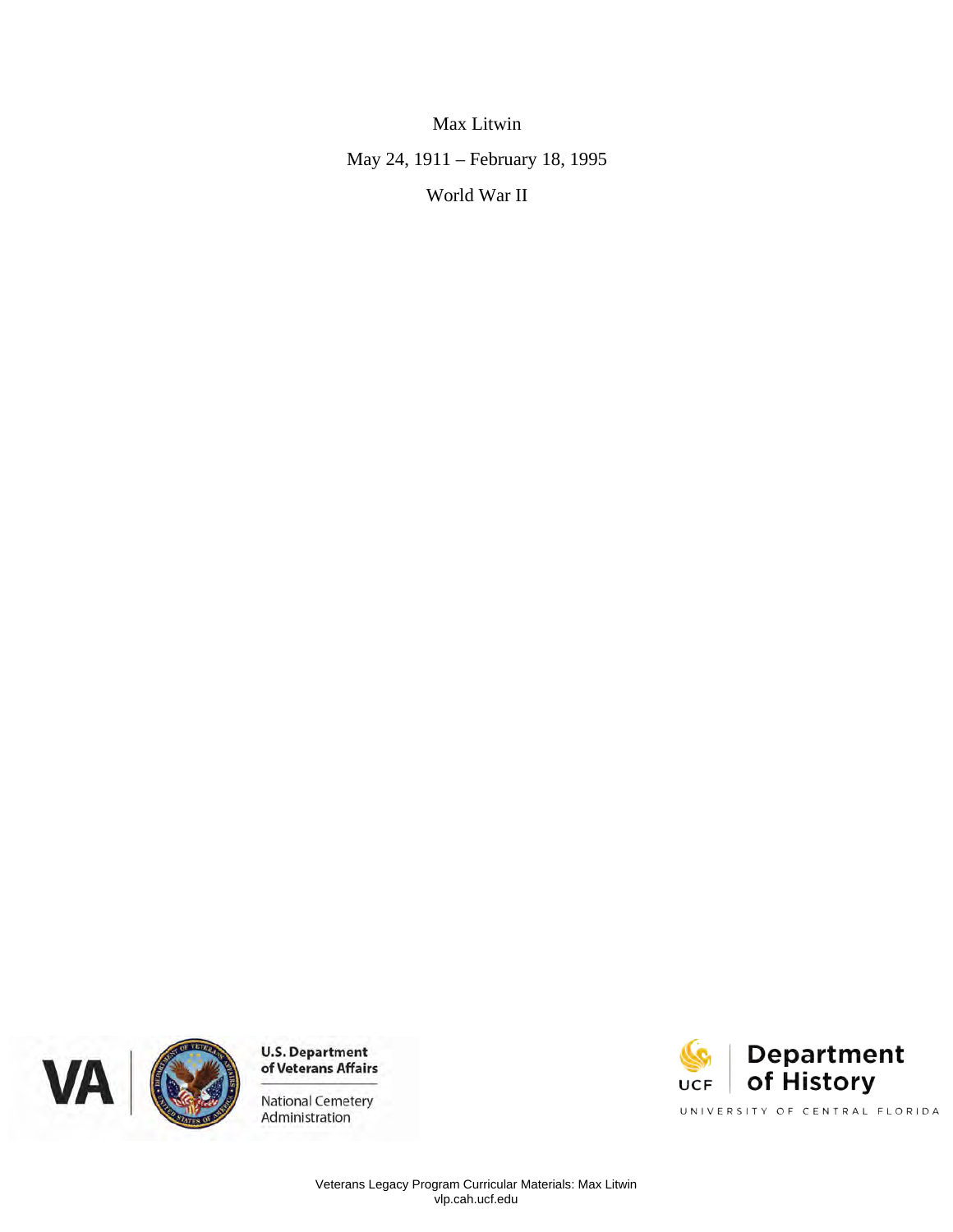Max Litwin May 24, 1911 – February 18, 1995 World War II





Administration

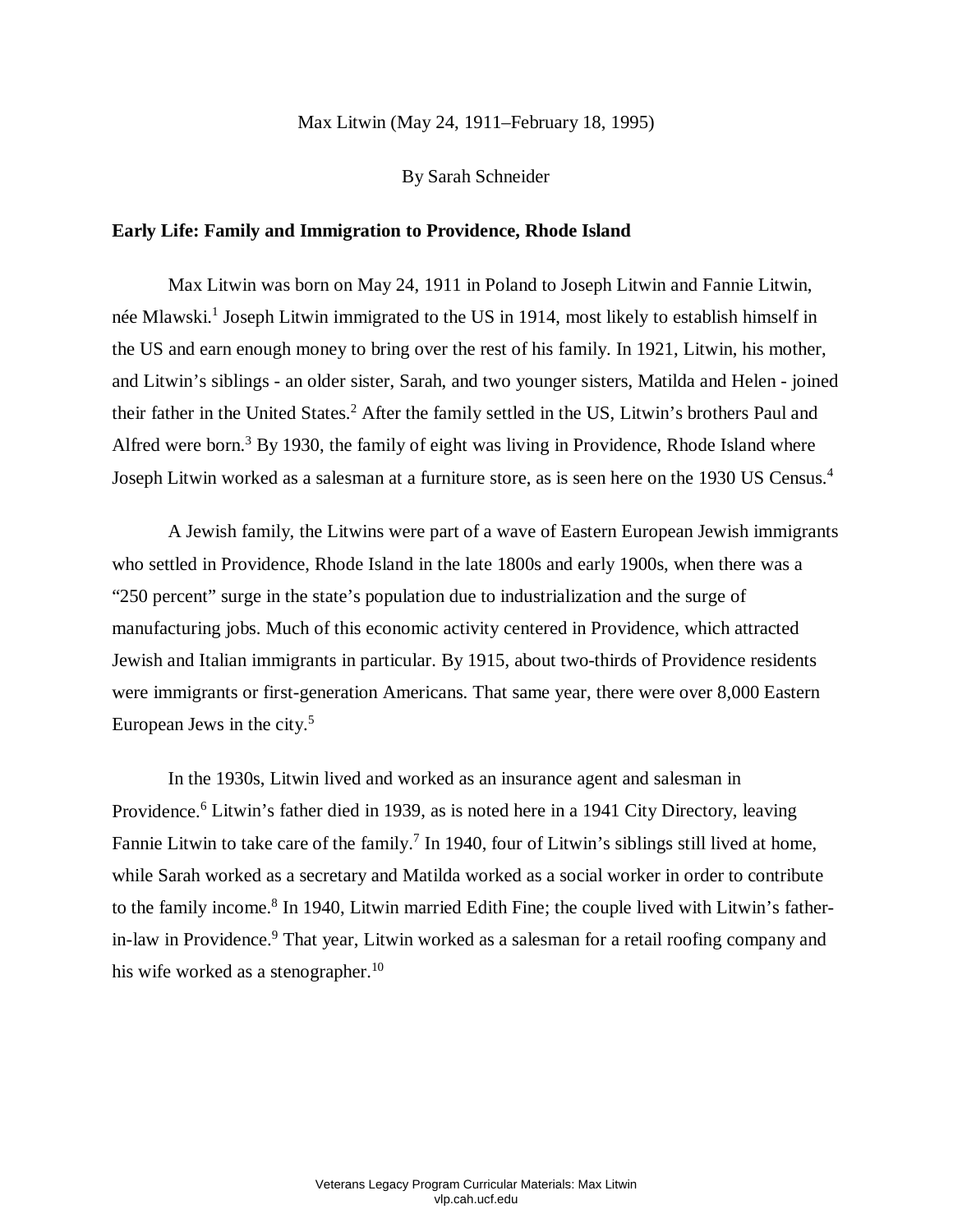### Max Litwin (May 24, 1911–February 18, 1995)

#### By Sarah Schneider

# **Early Life: Family and Immigration to Providence, Rhode Island**

 née Mlawski. 1 Joseph Litwin immigrated to the US in 1914, most likely to establish himself in the US and earn enough money to bring over the rest of his family. In 1921, Litwin, his mother, and Litwin's siblings - an older sister, Sarah, and two younger sisters, Matilda and Helen - joined their father in the United States.<sup>2</sup> After the family settled in the US, Litwin's brothers Paul and Max Litwin was born on May 24, 1911 in Poland to Joseph Litwin and Fannie Litwin, Alfred were born.<sup>3</sup> By 1930, the family of eight was living in Providence, Rhode Island where Joseph Litwin worked as a salesman at a furniture store, as is seen here on the 1930 US Census. 4

 A Jewish family, the Litwins were part of a wave of Eastern European Jewish immigrants who settled in Providence, Rhode Island in the late 1800s and early 1900s, when there was a "250 percent" surge in the state's population due to industrialization and the surge of manufacturing jobs. Much of this economic activity centered in Providence, which attracted Jewish and Italian immigrants in particular. By 1915, about two-thirds of Providence residents were immigrants or first-generation Americans. That same year, there were over 8,000 Eastern European Jews in the city. 5

Fannie Litwin to take care of the family.<sup>7</sup> In 1940, four of Litwin's siblings still lived at home, In the 1930s, Litwin lived and worked as an insurance agent and salesman in Providence.<sup>6</sup> Litwin's father died in 1939, as is noted here in a 1941 City Directory, leaving while Sarah worked as a secretary and Matilda worked as a social worker in order to contribute to the family income.<sup>8</sup> In 1940, Litwin married Edith Fine; the couple lived with Litwin's fatherin-law in Providence. 9 That year, Litwin worked as a salesman for a retail roofing company and his wife worked as a stenographer.<sup>10</sup>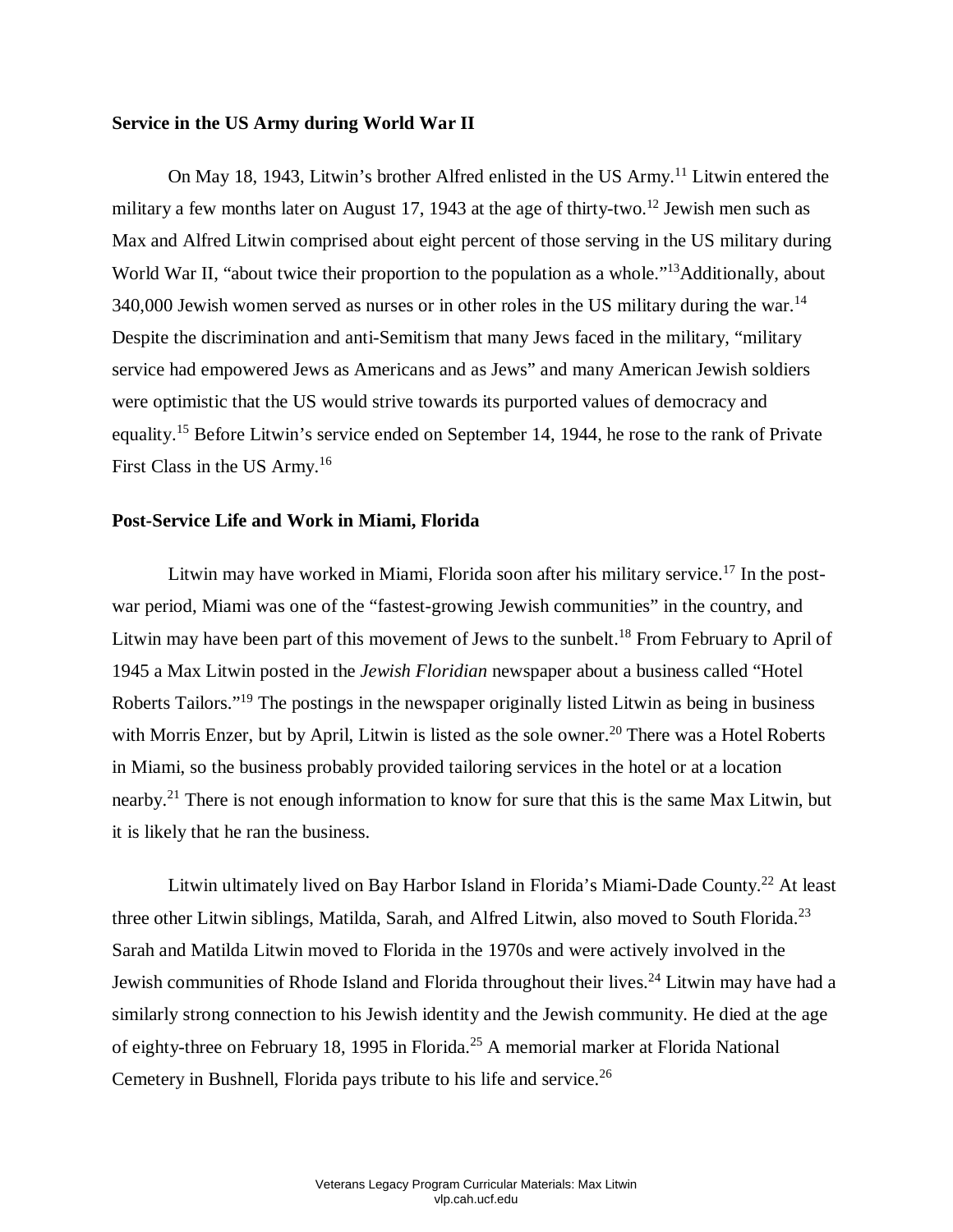# **Service in the US Army during World War II**

military a few months later on August 17, 1943 at the age of thirty-two.<sup>12</sup> Jewish men such as Max and Alfred Litwin comprised about eight percent of those serving in the US military during 340,000 Jewish women served as nurses or in other roles in the US military during the war.<sup>14</sup> Despite the discrimination and anti-Semitism that many Jews faced in the military, "military service had empowered Jews as Americans and as Jews" and many American Jewish soldiers On May 18, 1943, Litwin's brother Alfred enlisted in the US Army.<sup>11</sup> Litwin entered the World War II, "about twice their proportion to the population as a whole."<sup>13</sup>Additionally, about were optimistic that the US would strive towards its purported values of democracy and equality.15 Before Litwin's service ended on September 14, 1944, he rose to the rank of Private First Class in the US Army.<sup>16</sup>

### **Post-Service Life and Work in Miami, Florida**

Litwin may have worked in Miami, Florida soon after his military service.<sup>17</sup> In the post-Litwin may have been part of this movement of Jews to the sunbelt.<sup>18</sup> From February to April of Roberts Tailors."<sup>19</sup> The postings in the newspaper originally listed Litwin as being in business with Morris Enzer, but by April, Litwin is listed as the sole owner.<sup>20</sup> There was a Hotel Roberts nearby.<sup>21</sup> There is not enough information to know for sure that this is the same Max Litwin, but it is likely that he ran the business. war period, Miami was one of the "fastest-growing Jewish communities" in the country, and 1945 a Max Litwin posted in the *Jewish Floridian* newspaper about a business called "Hotel in Miami, so the business probably provided tailoring services in the hotel or at a location

Litwin ultimately lived on Bay Harbor Island in Florida's Miami-Dade County.<sup>22</sup> At least three other Litwin siblings, Matilda, Sarah, and Alfred Litwin, also moved to South Florida.<sup>23</sup> Sarah and Matilda Litwin moved to Florida in the 1970s and were actively involved in the Jewish communities of Rhode Island and Florida throughout their lives.<sup>24</sup> Litwin may have had a of eighty-three on February 18, 1995 in Florida. 25 A memorial marker at Florida National Cemetery in Bushnell, Florida pays tribute to his life and service.<sup>26</sup> similarly strong connection to his Jewish identity and the Jewish community. He died at the age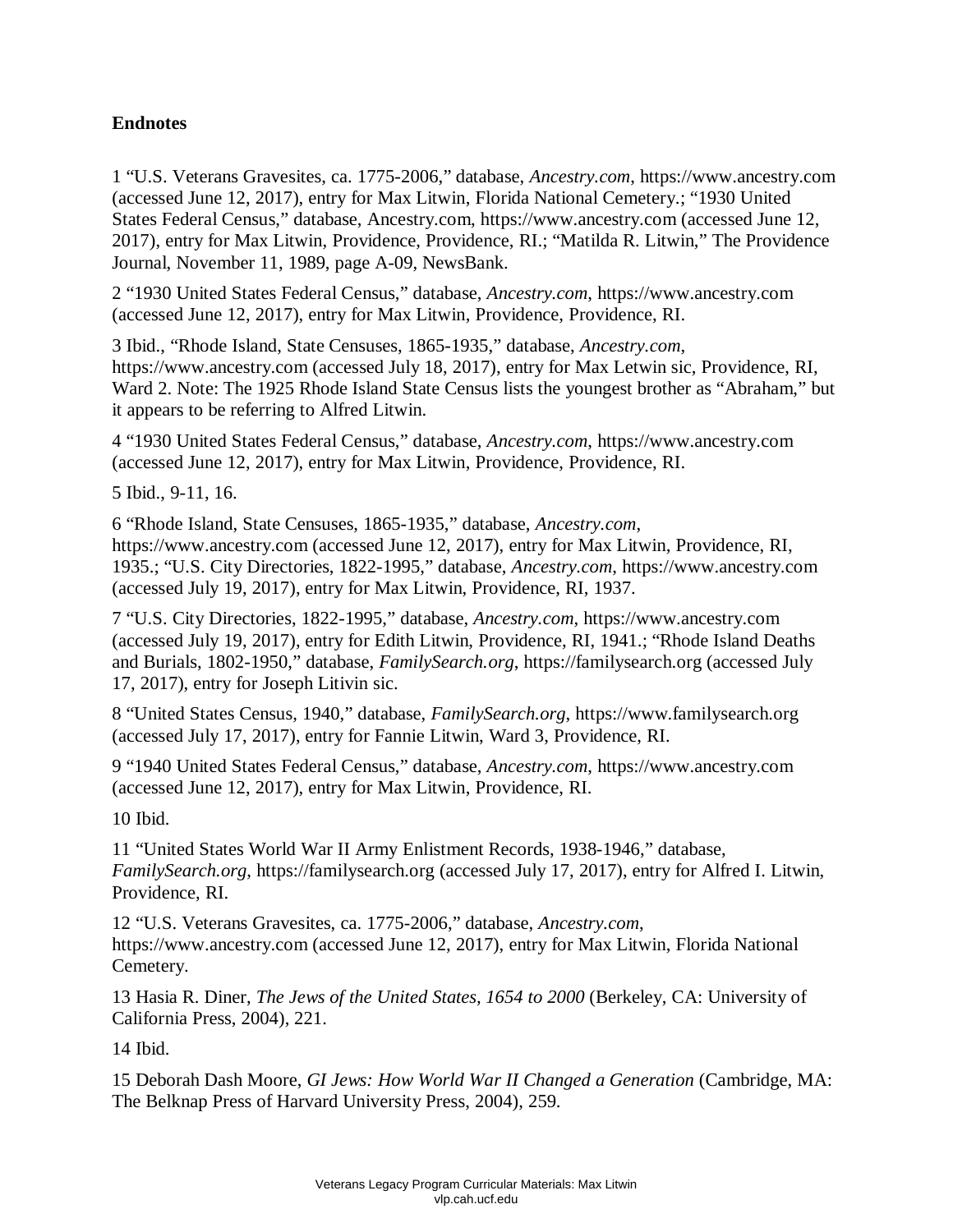# **Endnotes**

1 "U.S. Veterans Gravesites, ca. 1775-2006," database, *Ancestry.com*, https://www.ancestry.com (accessed June 12, 2017), entry for Max Litwin, Florida National Cemetery.; "1930 United States Federal Census," database, Ancestry.com, https://www.ancestry.com (accessed June 12, 2017), entry for Max Litwin, Providence, Providence, RI.; "Matilda R. Litwin," The Providence Journal, November 11, 1989, page A-09, NewsBank.

2 "1930 United States Federal Census," database, *Ancestry.com*, https://www.ancestry.com (accessed June 12, 2017), entry for Max Litwin, Providence, Providence, RI.

 Ward 2. Note: The 1925 Rhode Island State Census lists the youngest brother as "Abraham," but 3 Ibid., "Rhode Island, State Censuses, 1865-1935," database, *Ancestry.com*, https://www.ancestry.com (accessed July 18, 2017), entry for Max Letwin sic, Providence, RI, it appears to be referring to Alfred Litwin.

4 "1930 United States Federal Census," database, *Ancestry.com*, https://www.ancestry.com (accessed June 12, 2017), entry for Max Litwin, Providence, Providence, RI.

5 Ibid., 9-11, 16.

6 "Rhode Island, State Censuses, 1865-1935," database, *Ancestry.com*, https://www.ancestry.com (accessed June 12, 2017), entry for Max Litwin, Providence, RI, 1935.; "U.S. City Directories, 1822-1995," database, *Ancestry.com*, https://www.ancestry.com (accessed July 19, 2017), entry for Max Litwin, Providence, RI, 1937.

7 "U.S. City Directories, 1822-1995," database, *Ancestry.com*, https://www.ancestry.com (accessed July 19, 2017), entry for Edith Litwin, Providence, RI, 1941.; "Rhode Island Deaths and Burials, 1802-1950," database, *FamilySearch.org*, https://familysearch.org (accessed July 17, 2017), entry for Joseph Litivin sic.

 (accessed July 17, 2017), entry for Fannie Litwin, Ward 3, Providence, RI. 8 "United States Census, 1940," database, *FamilySearch.org*, https://www.familysearch.org

9 "1940 United States Federal Census," database, *Ancestry.com*, https://www.ancestry.com (accessed June 12, 2017), entry for Max Litwin, Providence, RI.

10 Ibid.

 *FamilySearch.org*, https://familysearch.org (accessed July 17, 2017), entry for Alfred I. Litwin, 11 "United States World War II Army Enlistment Records, 1938-1946," database, Providence, RI.

12 "U.S. Veterans Gravesites, ca. 1775-2006," database, *Ancestry.com*, https://www.ancestry.com (accessed June 12, 2017), entry for Max Litwin, Florida National Cemetery.

13 Hasia R. Diner, *The Jews of the United States, 1654 to 2000* (Berkeley, CA: University of California Press, 2004), 221.

14 Ibid.

15 Deborah Dash Moore, *GI Jews: How World War II Changed a Generation* (Cambridge, MA: The Belknap Press of Harvard University Press, 2004), 259.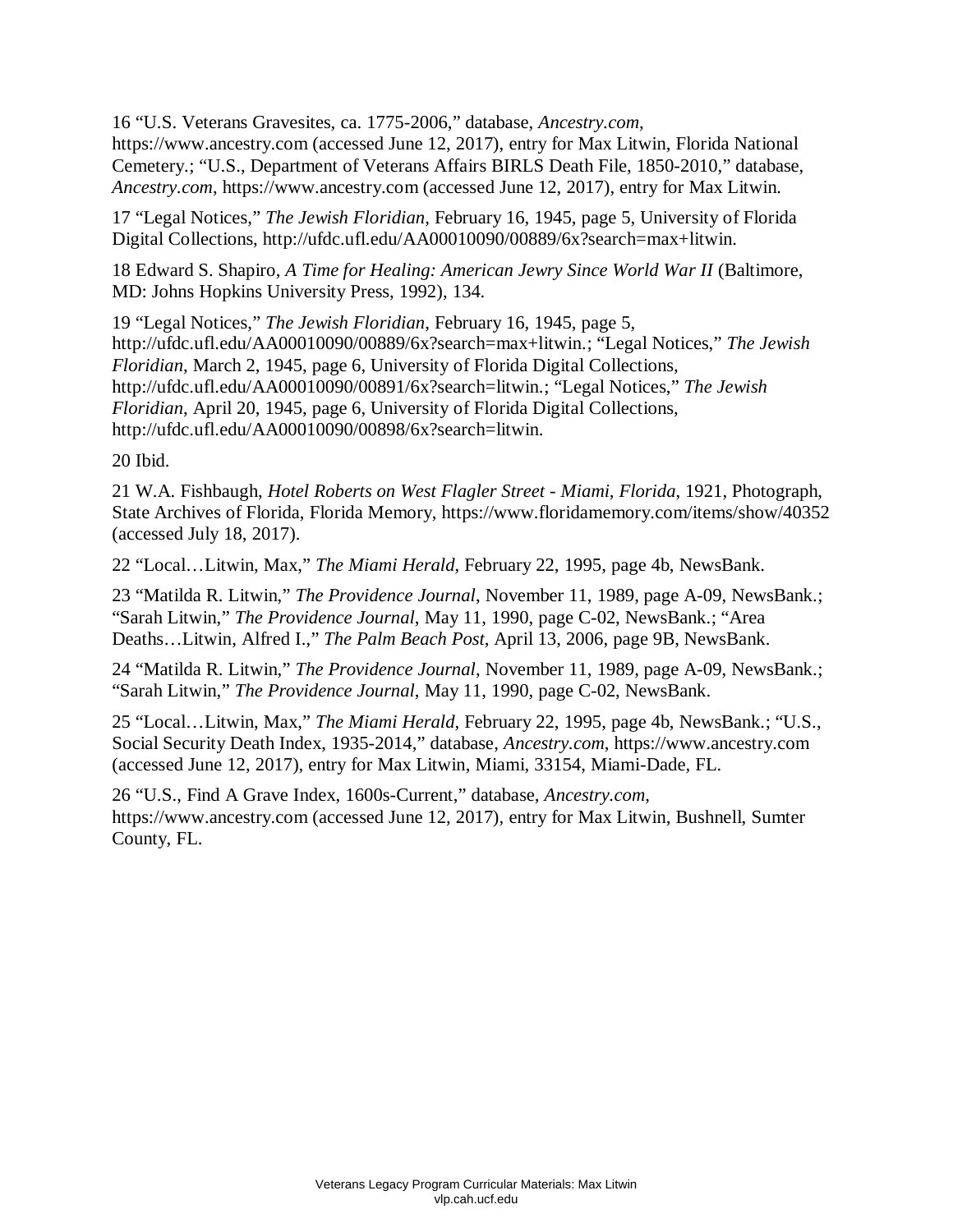16 "U.S. Veterans Gravesites, ca. 1775-2006," database, *Ancestry.com*,

https://www.ancestry.com (accessed June 12, 2017), entry for Max Litwin, Florida National Cemetery.; "U.S., Department of Veterans Affairs BIRLS Death File, 1850-2010," database, *Ancestry.com*, https://www.ancestry.com (accessed June 12, 2017), entry for Max Litwin.

17 "Legal Notices," *The Jewish Floridian*, February 16, 1945, page 5, University of Florida Digital Collections, http://ufdc.ufl.edu/AA00010090/00889/6x?search=max+litwin.

18 Edward S. Shapiro, *A Time for Healing: American Jewry Since World War II* (Baltimore, MD: Johns Hopkins University Press, 1992), 134.

19 "Legal Notices," *The Jewish Floridian*, February 16, 1945, page 5, http://ufdc.ufl.edu/AA00010090/00889/6x?search=max+litwin.; "Legal Notices," *The Jewish Floridian*, March 2, 1945, page 6, University of Florida Digital Collections, http://ufdc.ufl.edu/AA00010090/00891/6x?search=litwin.; "Legal Notices," *The Jewish Floridian*, April 20, 1945, page 6, University of Florida Digital Collections, http://ufdc.ufl.edu/AA00010090/00898/6x?search=litwin.

20 Ibid.

21 W.A. Fishbaugh, *Hotel Roberts on West Flagler Street - Miami, Florida*, 1921, Photograph, State Archives of Florida, Florida Memory, https://www.floridamemory.com/items/show/40352 (accessed July 18, 2017).

22 "Local…Litwin, Max," *The Miami Herald*, February 22, 1995, page 4b, NewsBank.

23 "Matilda R. Litwin," *The Providence Journal*, November 11, 1989, page A-09, NewsBank.; "Sarah Litwin," *The Providence Journal*, May 11, 1990, page C-02, NewsBank.; "Area Deaths…Litwin, Alfred I.," *The Palm Beach Post*, April 13, 2006, page 9B, NewsBank.

24 "Matilda R. Litwin," *The Providence Journal*, November 11, 1989, page A-09, NewsBank.; "Sarah Litwin," *The Providence Journal*, May 11, 1990, page C-02, NewsBank.

25 "Local…Litwin, Max," *The Miami Herald*, February 22, 1995, page 4b, NewsBank.; "U.S., Social Security Death Index, 1935-2014," database, *Ancestry.com*, https://www.ancestry.com (accessed June 12, 2017), entry for Max Litwin, Miami, 33154, Miami-Dade, FL.

26 "U.S., Find A Grave Index, 1600s-Current," database, *Ancestry.com*, https://www.ancestry.com (accessed June 12, 2017), entry for Max Litwin, Bushnell, Sumter County, FL.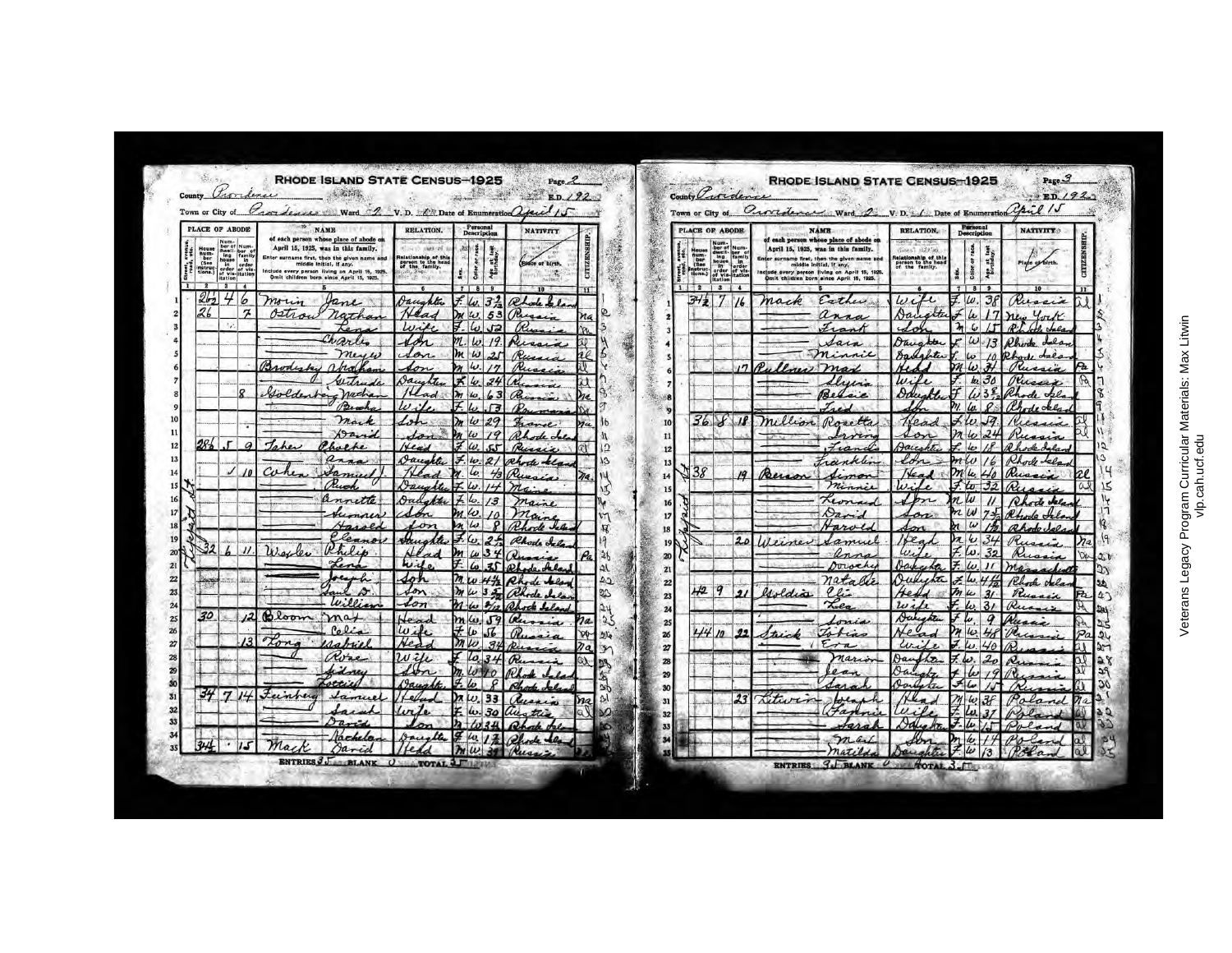| County Proridence<br>Town or City of                                                               |                                                                                                                |                 | RHODE ISLAND STATE CENSUS-1925<br>Grandesse Ward 2 V.D. En Date of Enumeration april 15                                                                                                                                                                |                                                                                   |                                                                                      | $-200$                                                   | Page <sub>2</sub><br>ED.192 |                          | County Tredence                                                    |                                                                                                                  |                  | <b>RHODE ISLAND STATE CENSUS-1925</b><br>Town or City of Curriculum Ward 2 V.D. 1 Date of Enumeration Opil 15                                                                                                                                       |                                                                               |                                                                         | Page 3<br>750/92                           |  |
|----------------------------------------------------------------------------------------------------|----------------------------------------------------------------------------------------------------------------|-----------------|--------------------------------------------------------------------------------------------------------------------------------------------------------------------------------------------------------------------------------------------------------|-----------------------------------------------------------------------------------|--------------------------------------------------------------------------------------|----------------------------------------------------------|-----------------------------|--------------------------|--------------------------------------------------------------------|------------------------------------------------------------------------------------------------------------------|------------------|-----------------------------------------------------------------------------------------------------------------------------------------------------------------------------------------------------------------------------------------------------|-------------------------------------------------------------------------------|-------------------------------------------------------------------------|--------------------------------------------|--|
| PLACE OF ABODE                                                                                     |                                                                                                                | <b>NAME</b>     | Personal<br><b>Description</b>                                                                                                                                                                                                                         | <b>NATIVITY</b>                                                                   |                                                                                      |                                                          |                             | PLACE OF ABODE           |                                                                    | <b>NAME</b>                                                                                                      | <b>RELATION.</b> | Personal<br><b>Description</b>                                                                                                                                                                                                                      | <b>NATIVITY</b>                                                               |                                                                         |                                            |  |
| House<br>hum-<br>ber<br>(See<br>instruc-<br>tions.)<br>rent, avenu<br>road, etc.<br>$\overline{2}$ | Num-<br>ber of Num-<br>dwell- ber of<br>ing<br>ing family<br>of vis-<br>drivis-<br>tation<br>tation<br>$3 + 4$ |                 | of each person whose place of abode on<br>April 15, 1925, was in this family.<br>Enter aurname first, then the given name and<br>middle initial, if any.<br>Include every person living on April 15, 1925.<br>Omit children born since April 15, 1925. | <b>Country of</b><br>Relationship of this<br>person to the head<br>of the family. | tage.<br>H.<br>Color or r<br>Age at 1                                                | Place of birth.<br>$\mathcal{C}^{\text{in}}_{\text{in}}$ | E                           |                          | House<br>num-<br>ber<br>(See<br>instructions.)<br>i<br>St<br>root, | Num-<br>ber of Num-<br>dwell- ber of<br>ing family<br>house in<br>order of vis-<br>of vis-<br>itation<br>1121314 |                  | each person whose place of abode on<br>April 15, 1925, was in this family.<br>Enter surname first, then the given name and<br>middle initial, if any,<br>Include every person (Iving on April 15, 1925.<br>Omit children born since April 15, 1925. | dinest size in<br>elationship of this<br>person to the head<br>of the family. | race.<br>Age at last<br>$\mathbf{r}$<br>Color<br>$7$ $R$ $9$            | lape of birth.                             |  |
| $26_{2}$<br>26                                                                                     | 46<br>$\boldsymbol{\pi}$                                                                                       | morin<br>Ostrou | fane<br>natha                                                                                                                                                                                                                                          | Daughter<br>Wife                                                                  | $-7.2$<br>$\iota$<br>53<br> u <br>r2                                                 |                                                          | Ø                           |                          | 342                                                                |                                                                                                                  | 1/6              | mack<br>Esther<br>anna<br>Frank                                                                                                                                                                                                                     | wife<br>Dar                                                                   | 38<br>$\omega$<br>$\mu$<br>$\mathcal{H}$<br>$\omega$<br>$\prime$ $\sim$ | Russia<br>York<br>$\overline{D}$<br>Se Les |  |
|                                                                                                    |                                                                                                                | Ban             | Char<br>mes<br>abin                                                                                                                                                                                                                                    | Ж<br>Son.                                                                         | $\overline{L}$<br>Dм<br>$ \omega $<br>رما ا                                          | N.<br>R.                                                 |                             |                          |                                                                    |                                                                                                                  | , n              | Sain<br>minnie<br>D<br>max                                                                                                                                                                                                                          | <i><u>Aug.</u></i><br>$H_1$<br>$\beta$ al<br>$l_{\alpha}$                     | $\omega$<br>13<br>$\overline{h}$<br>$\omega$<br>$m(\omega)$<br>74       | Ila<br>Phode                               |  |
|                                                                                                    | $\circ$                                                                                                        | Goldent         | <b>Gent</b><br>nacha<br>Beach                                                                                                                                                                                                                          | Jaunt.<br>$\omega$                                                                | ≭<br>$\omega$<br>lж<br>to<br>$F _{L}$<br>$\sqrt{3}$                                  |                                                          |                             |                          |                                                                    |                                                                                                                  |                  | luis<br>Belgie<br>$\mathcal{L}$ .                                                                                                                                                                                                                   | lui<br>Daughte                                                                | k.<br>31<br>$\ln$<br>$\mathcal O$                                       | dec                                        |  |
| $28.5$ $5$                                                                                         | $\overline{a}$                                                                                                 |                 | mark<br>$192 -$<br>Phoefe                                                                                                                                                                                                                              | Hea                                                                               | 29<br>w<br>$\overline{10}$<br>$\omega$<br>72.                                        | Rh.<br>Russ                                              |                             | 10<br>11<br>12           |                                                                    | 36818                                                                                                            |                  | Million Rosetta<br>ervin<br>$I_{\mu\mu}$                                                                                                                                                                                                            | Lea<br>Jain                                                                   | $\sqrt{q}$<br>$\omega$<br>$\omega$<br>les                               |                                            |  |
|                                                                                                    |                                                                                                                |                 | $\boldsymbol{z}$                                                                                                                                                                                                                                       | Aaught.<br>Jaughter                                                               | $ \omega $<br>$\omega$<br>$\mathcal{I}$ lv.<br>$\overline{1}$                        | Rhody tela<br>$m_{c}$ .                                  | 13                          | 13<br>14<br>15           | 38                                                                 |                                                                                                                  | 19               | Eranklin<br>Berson<br>minnie                                                                                                                                                                                                                        | fon.<br>$\omega$                                                              | $\iota$<br>mle<br>to 32                                                 | Russia<br>íD,                              |  |
|                                                                                                    |                                                                                                                |                 | leanor                                                                                                                                                                                                                                                 | $A_{\mathcal{H}}$<br>on                                                           | $\iota$ .<br>13<br>$\omega$<br>$\overline{10}$<br>$n \omega $<br>$\boldsymbol{\rho}$ | maine<br>maine<br>Rhode Isla                             | v٢<br>$\boldsymbol{\kappa}$ | 16<br>17<br>18           |                                                                    |                                                                                                                  |                  | أمنعه<br>arol                                                                                                                                                                                                                                       |                                                                               | nW<br>$\omega$<br>32                                                    | Ñ<br>ode fel<br>Rhode<br>@hodo Joe         |  |
|                                                                                                    |                                                                                                                |                 | Philip                                                                                                                                                                                                                                                 | wil.<br>40h                                                                       | $\omega$<br>m<br>$\omega$<br>34<br>20                                                | Rhode & O.<br>$\mathcal{D}_1$<br>$\n  Q$                 | 19<br>26<br>$\mathfrak{A}$  | $\mathbf{1}$<br>20<br>21 |                                                                    |                                                                                                                  | $2\ell$          | Heiner<br>amuel<br>anno<br>Dorochy<br>nataa                                                                                                                                                                                                         | $\omega$<br>Aa                                                                | $\omega$<br>ω.<br>32<br>$\prime$                                        | Russia                                     |  |
| 30                                                                                                 |                                                                                                                | Bloom           | $\mathbf{A}$<br>w: o.<br>max                                                                                                                                                                                                                           | Son<br>$\mathcal{L}$ on                                                           | mw<br>35<br>$m/\omega$<br>$\mathsf{r}_q$                                             | hode<br>Jelen<br>M<br>œ.                                 | 22<br>Q3<br>5               | 22<br>23<br>24           | H2                                                                 | 9                                                                                                                | $\bullet$        | lli<br>esoldia<br>Lea                                                                                                                                                                                                                               | Ho<br>with<br>Dakeghter                                                       | mu<br>$\frac{3}{4}$<br>3/<br>a                                          | Rus                                        |  |
|                                                                                                    |                                                                                                                | ton             | 0.0.5<br>$\Delta$ abricl<br>Rosse                                                                                                                                                                                                                      | $\omega_{ik}$<br>$u$ $u$                                                          | Wь<br>$m\omega$                                                                      |                                                          | かい                          | 25<br>26<br>27<br>28     |                                                                    | 4410                                                                                                             | 92               | Tobian<br>ta<br>nario                                                                                                                                                                                                                               | Lu<br>Iac                                                                     | $\omega$<br><b>Ves</b><br>$\sqrt{\rho}$                                 | മ<br>$\mathcal{R}$ .                       |  |
| 34<br>$\mathbf{7}$                                                                                 |                                                                                                                | Feinheig        | stti's<br>Samuel                                                                                                                                                                                                                                       |                                                                                   | $\omega$                                                                             |                                                          | sl                          | 29<br>30<br>31           |                                                                    |                                                                                                                  | 23               | u.<br>Acture                                                                                                                                                                                                                                        | 0a<br>Ra.                                                                     | 37<br>$\omega$                                                          |                                            |  |
|                                                                                                    |                                                                                                                |                 |                                                                                                                                                                                                                                                        |                                                                                   | le.<br>30                                                                            |                                                          | Ø                           | 32<br>33                 |                                                                    |                                                                                                                  |                  | $\overline{a}$                                                                                                                                                                                                                                      | $\nu \cdot \rho$<br>Adly                                                      | $\overline{\mathcal{L}}$<br>le                                          | P,                                         |  |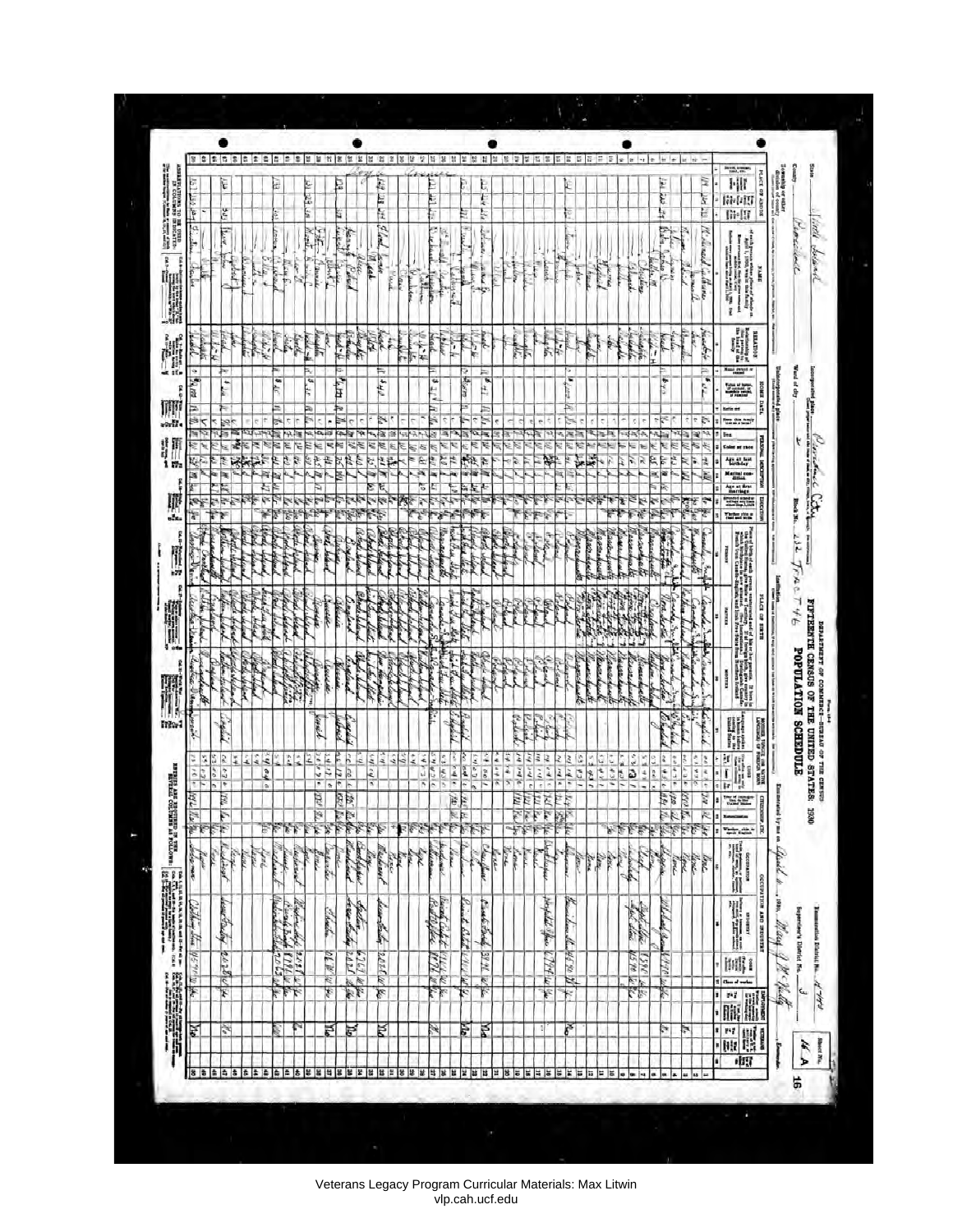|                                                                                                                                                                                                                                      | 3   호   호   즉         |                               | * * * * * * * * * * * * * * |         |         |                          |                             |              |                               |                                                            |                         |                 | 섬 25                        |                         | 兰宫诊 |                       | 集日                |                     | 新設 高能質          |                                |                                                | М                      | 簽                                                   | 禁留器                |                                  | 器                                                     | 58.5                              | B                              | m.                     | B               | $x \mid x$                           | l sig              |                      |                          |                             |                                                        |               | <b>TAXABLE</b>                                                                                                                                                                                                                  |                                                                                        |                               |                            |                                             |
|--------------------------------------------------------------------------------------------------------------------------------------------------------------------------------------------------------------------------------------|-----------------------|-------------------------------|-----------------------------|---------|---------|--------------------------|-----------------------------|--------------|-------------------------------|------------------------------------------------------------|-------------------------|-----------------|-----------------------------|-------------------------|-----|-----------------------|-------------------|---------------------|-----------------|--------------------------------|------------------------------------------------|------------------------|-----------------------------------------------------|--------------------|----------------------------------|-------------------------------------------------------|-----------------------------------|--------------------------------|------------------------|-----------------|--------------------------------------|--------------------|----------------------|--------------------------|-----------------------------|--------------------------------------------------------|---------------|---------------------------------------------------------------------------------------------------------------------------------------------------------------------------------------------------------------------------------|----------------------------------------------------------------------------------------|-------------------------------|----------------------------|---------------------------------------------|
| <b>بعد متزالفا</b>                                                                                                                                                                                                                   |                       | ۲ŕ<br>3g                      |                             |         |         | ¢,                       |                             | 131 129<br>E |                               | E                                                          |                         |                 | E.<br>N. IL                 |                         |     |                       |                   |                     |                 | Е                              | ţ<br>Ņ                                         |                        |                                                     |                    |                                  |                                                       | £                                 |                                |                        |                 |                                      |                    | E<br>ę.<br>k         |                          |                             | ã<br>ţ<br>E                                            |               | 时<br>開朝<br>m-m                                                                                                                                                                                                                  | BOOST 49 SEPTH                                                                         | <b>develop or other</b><br>ļļ |                            |                                             |
| $\left \frac{\sum_{i=1}^{n} \mathbf{v}_i}{\sum_{i=1}^{n} \mathbf{v}_i} \right  \left \frac{\sum_{i=1}^{n} \mathbf{v}_i}{\sum_{i=1}^{n} \mathbf{v}_i} \right  \leq \frac{1}{n}$<br>þ<br>ŀ<br>$\alpha_{\rm th, tot}$                   |                       | $\mathbb{Z}$<br>73            | in in 19<br>À               | ŀ<br>į, | k       | المنغوقة<br><b>Light</b> | ħ                           |              | Banner                        | $=\frac{1}{\sqrt{2}}\left \frac{1}{\sqrt{2}}\right ^{2/3}$ | <b>East E</b><br>Line 1 | Leek            | Elod, som                   | <b>Final</b>            | ķ   | Value<br><b>White</b> | ł                 | 医的<br>F             | <b>Liberal</b>  | ţ                              | a Bud                                          |                        | i.                                                  |                    | in de B                          | ۳                                                     |                                   | <b>Leitev</b>                  |                        | Place M         |                                      | Postage            | When the             | 6aba<br>Chair Li         | ĺ                           | W. Surel Catherine                                     |               |                                                                                                                                                                                                                                 | ach yezhoù whiter plane al alaezh<br>Agol I., 1990, wez iz tike family<br><b>SHARE</b> |                               | Vioriane                   | West.<br>bolans                             |
| M<br>التفتار                                                                                                                                                                                                                         | <b>Bights</b>         | i.<br>$1 - 4$                 |                             |         | ţ,      |                          | in C                        | ļ            | Ä                             | $\frac{1}{2}$                                              | بالطحابة                | They            | <b>Heat</b><br>P.           | é                       |     | 有个                    | <b>Visit</b>      | بيناء               | $\frac{1}{2}$   | $\frac{1}{2}$                  | للمنتجل                                        |                        |                                                     |                    | <b>The State</b>                 |                                                       | ИÅ.                               | Ř                              |                        |                 |                                      | la handi           |                      |                          | Ř                           | Haddel                                                 |               | <b>Seconda</b>                                                                                                                                                                                                                  | <b>MOUTHER</b>                                                                         |                               |                            |                                             |
|                                                                                                                                                                                                                                      | $\sigma$ Barth<br>ź,  | Þ<br>t,                       |                             |         |         | $\mathbf{z}_{1i}$        |                             | š,           |                               | 医体<br>⊨                                                    |                         |                 | ⊨<br>$\sigma\kappa_{\rm g}$ |                         |     |                       | R K               | ALL R               |                 | Ψ<br>ave.                      | 無<br>$\overline{t}$ if                         |                        |                                                     |                    |                                  |                                                       | ï.<br>Ę                           |                                |                        |                 |                                      |                    |                      | $\frac{1}{2}$            |                             | 印                                                      |               | $\frac{1}{2}$ and $\frac{1}{2}$<br><u>um</u><br><b>Kalle</b> and                                                                                                                                                                |                                                                                        | 뒱<br>ang penalty              | Ward of city               | å<br>g                                      |
| 晴                                                                                                                                                                                                                                    | ≋≺<br>V.              | per.                          |                             | ₹       |         | P.                       | Ε<br>F<br>R                 | ε            | 齿                             | N<br>以                                                     | 博                       | e<br>Se<br>e di | ¢                           | 리코                      |     | ł,<br>ß,              |                   | Ļ,                  | Ë               | Þ,<br>€<br>¢,<br>鄉             | $\frac{1}{2}$ $\frac{1}{2}$ $\frac{1}{2}$<br>þ |                        | 卵區                                                  |                    | 褐                                | ¥                                                     | Ŀ                                 | N<br>ţ                         |                        |                 |                                      | R                  |                      | ŧ<br>Μ<br>Ë              | ī.                          | Þ<br>ı.                                                | lies          | <b>The Street</b><br>Color or race<br>Age at last                                                                                                                                                                               |                                                                                        |                               |                            | ŧ                                           |
| ×<br>Q                                                                                                                                                                                                                               | ٣                     | ×,<br>Ę<br>¥                  |                             |         | ۳<br>۲  |                          | τ                           |              | T T                           |                                                            | <b>The Second</b>       |                 | 李                           | to the                  |     | ë<br>$\frac{d}{dt}$   |                   | q                   | Ę               | S,                             | و کارون دیگر<br>کارون کارون                    |                        | þ,                                                  |                    | P.                               |                                                       | $\mathcal{A}$                     |                                | やけ                     |                 | ζ<br>¥                               | あま にん              |                      | e k<br>ĉ,                | Ę                           | 精神                                                     |               | Marital con<br><b><i><u>College Hotel</u></i></b>                                                                                                                                                                               |                                                                                        |                               | Block No.                  | Periodice City                              |
| I                                                                                                                                                                                                                                    |                       |                               |                             |         |         | 14.44                    |                             |              | <b>Post</b>                   |                                                            | Godine                  | School Sulan    | ad hi                       |                         |     |                       |                   | Manager<br>in de    | beat Fee Stay   | The Light                      | <b>With Park</b>                               |                        |                                                     |                    | <b>Sept</b>                      |                                                       |                                   | <b>Little</b><br>in the s      | <b>College</b>         |                 | Marian                               | acal<br><b>Way</b> | <b>Barbara</b>       |                          |                             | Ì<br>ŀ<br>卧                                            | ROOM!         |                                                                                                                                                                                                                                 |                                                                                        |                               | 132<br>ş                   |                                             |
| lestate the<br>i.                                                                                                                                                                                                                    | F                     | ļ                             |                             |         |         |                          | ilian.                      |              | 医血管<br><b>WATER</b>           |                                                            | F                       | Shock belo      |                             |                         |     |                       |                   |                     | diable Jun Mete |                                |                                                |                        |                                                     |                    | ЭÊ<br>廖                          |                                                       | J.                                | å,<br>想想                       | 5.14                   | i de seg        |                                      | 4                  | ì<br><b>DOUGHALL</b> | Ä<br>$\frac{1}{2}$       | the or                      | inder !                                                | <b>HERE'S</b> | $\log n$ is the other persons content and of the $n$ between $N$ is the later of the $n$ is the set of the $n$ is the set of the $n$ is the set of the $n$ is the set of the set of the set of the set of the set of the set of | <b>FLAGE OF SIRTS</b>                                                                  |                               | 白白<br>アザモ                  |                                             |
| ę                                                                                                                                                                                                                                    |                       | E.                            | <b>Secret</b>               | ř.      |         |                          | 5                           |              |                               | <b>Recent</b>                                              |                         |                 | Ŗ<br>ļ,                     | í,<br><b>Controller</b> |     |                       |                   | the Line            | <b>LECARE</b>   | î,                             | <b>Chair</b>                                   | <b>Friend</b><br>Defan |                                                     |                    |                                  |                                                       |                                   | Microsoft                      | <b>Marcha</b>          | <b>GALGUARA</b> | <i><b><i>Reserve</i></b></i><br>News | Albana             | land is              | فيلطف                    | Į<br>سالاسك                 | Herman<br>r.                                           | WEIGHT        |                                                                                                                                                                                                                                 |                                                                                        |                               |                            | FIFTEEMIN CENSUS OF THE UNITED STATES: 1990 |
| きせいしゅ<br>TI.<br>ha,                                                                                                                                                                                                                  | 雨                     |                               | <b>Reference</b>            |         |         |                          |                             | in 1997.     | <b>Beacht</b><br>inet.        |                                                            |                         |                 | <b>Handbook</b>             |                         |     |                       |                   |                     |                 |                                |                                                |                        |                                                     | ε                  | $\frac{1}{2}$                    | $m_{\tilde{\gamma},\tilde{\gamma}}$                   |                                   | السابق<br>المنابعة<br>المنابعة |                        |                 |                                      |                    |                      | Village                  |                             | <b>This</b>                                            |               |                                                                                                                                                                                                                                 |                                                                                        |                               | <b>POPULATION SCHEDULE</b> |                                             |
|                                                                                                                                                                                                                                      | ă,<br>$\frac{1}{2}$   | S<br>S.<br>$\frac{1}{2}$<br>o | h×.<br>۷                    | Áź      | i q y   |                          | È<br>ż                      | $2\%$        | 24/12<br>š                    | l<br>¥                                                     | <b>Septist</b><br>22322 | ė               | cap ed<br>è                 |                         | かんこ | υ                     | i k s<br>美<br>医空间 | $s'$ \$ 15/ $c$     | $\frac{1}{2}$   | β<br>21500<br>$2   \mathbf{p}$ | ić,<br>100                                     | ĥ<br>¥                 | o Link<br>$\frac{1}{2}$ and $\frac{1}{2}$<br>£<br>ĭ | š<br>$\frac{1}{2}$ | š<br>$\frac{2}{\epsilon}$        | $\frac{1}{2}$ $\frac{1}{2}$ $\frac{1}{2}$<br>of pa 14 | <b>A</b><br>$\frac{1}{2}$         | 15451                          | 18051<br>16455         | ĩ,<br>۱ç        | $\frac{7655}{1005}$                  | 114455             | <b>ST</b> ed         | $-4.95$<br>$\frac{1}{2}$ | ß<br>è                      | 266/15<br>Ŀ<br>$\frac{1}{2}$                           | $\frac{d}{1}$ | S.                                                                                                                                                                                                                              | NOR NOONG AS CEREDORY<br>mon                                                           |                               |                            |                                             |
|                                                                                                                                                                                                                                      | igu hulju.            | b.<br>四中尔                     |                             |         | o,<br>F |                          | تل علي تناخ                 |              | F<br>$\frac{m}{n}\frac{y}{n}$ | $\tilde{\phantom{a}}$                                      | a ak                    |                 | π<br>铎                      |                         |     |                       |                   |                     | É<br>FEREES     | 高尔尼                            | $\leftrightarrow$                              | 2                      | š                                                   |                    | en kal<br>Indonésia<br>Indonésia |                                                       | $\frac{n_1}{n_1}\sum_{k=1}^n k_k$ |                                |                        |                 | 医脑脑                                  |                    |                      |                          |                             | ra de la Regia<br>1932 de la Regia<br>1934 de la Regia | t   F         | ĦE<br>ma:                                                                                                                                                                                                                       | accesso<br>w.mc                                                                        |                               |                            |                                             |
|                                                                                                                                                                                                                                      | Jener<br>Selema<br>ķ, | Regist                        | <b>Sept</b>                 | in 19   | تهتمني  | <b>County</b><br>rehair  | aberte                      |              | Julian                        | <b>Control</b>                                             | Bulgar                  | top             |                             | hoe<br>Keitsud          |     | <b>MA</b>             |                   | hipse               | llian.          | martin                         | Uniform                                        | <b>Cast</b>            | Tone                                                | T                  | Filippi                          |                                                       |                                   | in                             | <b>Barnett Barnett</b> | V               |                                      |                    | Maria                |                          | <b>Sente</b><br><b>Kont</b> | line                                                   |               | 開訓                                                                                                                                                                                                                              | родительно                                                                             | means by me on Lifewell to    |                            |                                             |
|                                                                                                                                                                                                                                      |                       |                               |                             |         |         | Belinhold                |                             |              |                               | deta                                                       |                         |                 | Linkship                    |                         |     |                       |                   |                     |                 |                                |                                                |                        |                                                     |                    |                                  |                                                       | N                                 |                                |                        |                 |                                      | Johnson<br>Les lim |                      | Meland age               |                             |                                                        |               | H                                                                                                                                                                                                                               | <b>INTERNET ORT HOLIVEISS)</b>                                                         | . von Mary 7                  |                            |                                             |
| All College Control Control College College College College College College College College College College Co<br>2002 - College College College College College College College College College College College College College<br> |                       | hour track certificity        |                             |         |         |                          | de Linder<br>Control Miller |              | $-4.7.77$                     |                                                            | between 6767 spie       |                 | 2028 00 /                   |                         |     |                       |                   | Band Chit William   |                 | Canal Battle Milley            | Factorial 3921 W                               |                        |                                                     |                    | which ago 1794                   |                                                       | Come St. H.S. 90 18               |                                |                        |                 | <b>VS 70 L</b>                       | 1390 4             |                      | 4990%                    |                             |                                                        |               | ini) i<br>I Chan of worker                                                                                                                                                                                                      |                                                                                        |                               | 1 H . H. la                | Supersion's District No.                    |
| 王龍龍錦<br>ÞА                                                                                                                                                                                                                           |                       | Vs.                           |                             |         |         |                          | $\mathcal{F}$<br>r          |              |                               | Ã                                                          | 巨                       |                 | Ř                           |                         |     |                       |                   | $\mathbb{Z}^2$<br>Ŕ |                 | s,<br>ě                        | k.<br>Ř                                        |                        |                                                     |                    | G)                               | ķ.                                                    | ħ<br>F                            |                                |                        |                 |                                      | $k\hbar$           |                      | Ķ<br>ţ,                  | ь                           |                                                        | x             | $\frac{1}{\min\{m\}}$                                                                                                                                                                                                           |                                                                                        |                               |                            | $\tilde{\mathbf{r}}$                        |
| 8                                                                                                                                                                                                                                    | G                     | a,<br>畠                       | s                           | 类类      | l#      | a.                       | $\approx$ $\approx$         |              | 禁留性                           |                                                            | 第第第                     |                 |                             |                         |     |                       |                   |                     |                 |                                | 第 第 第 第 第 第 第 第 第 第 第 第 第 第                    |                        |                                                     | Ħ                  | 耳鼻                               |                                                       | 昇 其 舞                             |                                | 보보보                    |                 | $-1.4$                               |                    | a.                   | $m - n$                  |                             | $= 10$                                                 | 1 m<br>E      | 市                                                                                                                                                                                                                               | WI                                                                                     | ŕ                             | 91                         | $\frac{1}{2}$                               |

Veterans Legacy Program Curricular Materials: Max Litwin vlp.cah.ucf.edu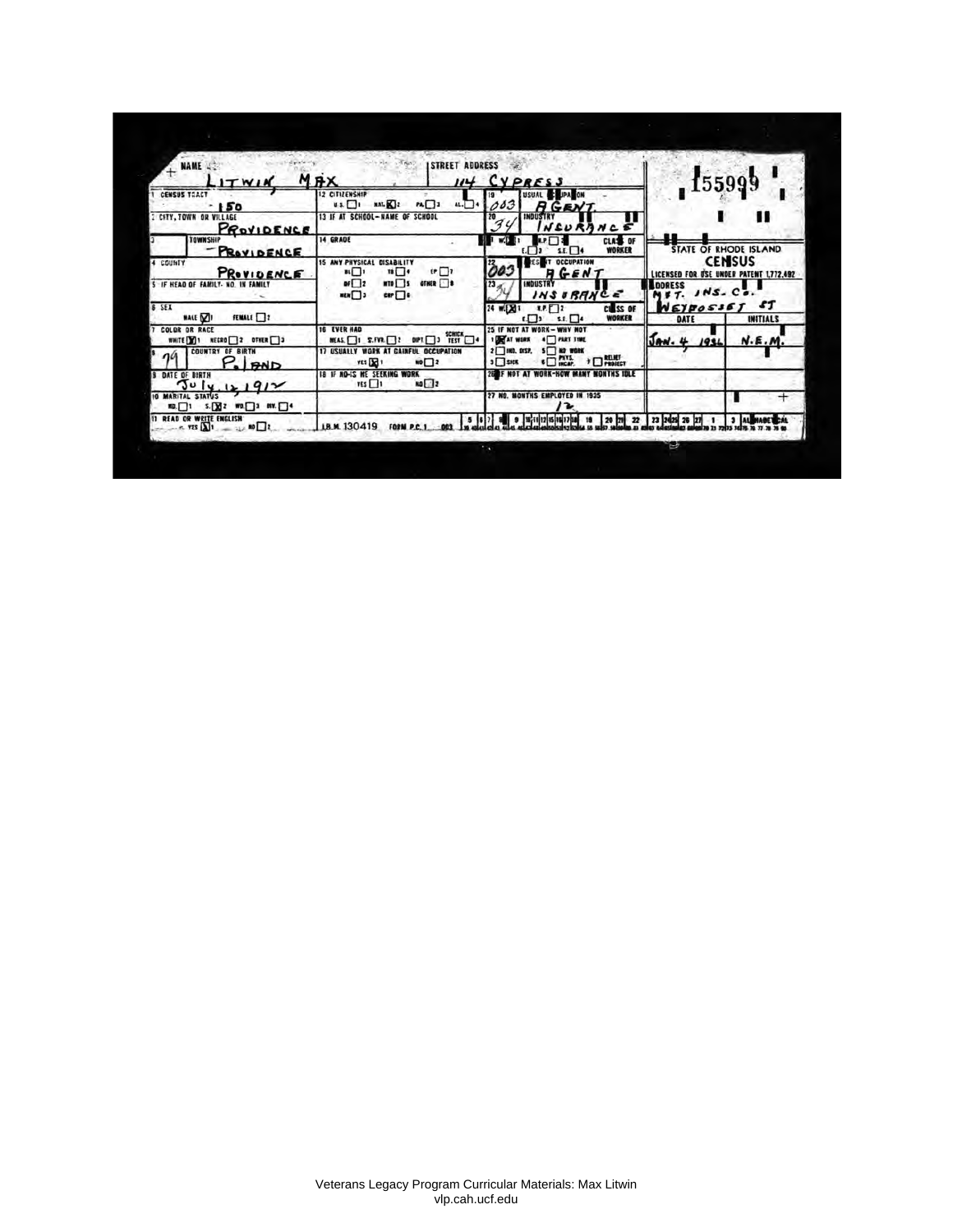| $+$ NAME<br>ITWI                                                                               | <b>STREET ADDRESS</b><br><b>MRX</b><br>,,,                                                                    | <b>VPRESS</b>                                                                  |                         | 55999                                        |
|------------------------------------------------------------------------------------------------|---------------------------------------------------------------------------------------------------------------|--------------------------------------------------------------------------------|-------------------------|----------------------------------------------|
| <b>CENSUS TRACT</b><br>150                                                                     | 12 CITIZENSHIP<br><b>MAT. XIZ</b><br>$PL \Box 1$<br>$\mathbf{u}$ s. $\Box$<br>AL.                             | USUAL C JPA ON<br>003<br>R<br><b>GENT</b>                                      |                         |                                              |
| <b>2 CITY, TOWN OR VILLAGE</b><br>PROVIDENCE                                                   | <b>SCHOOL</b><br>13 IF AT SCHOOL-NAME OF                                                                      | 20<br><b>INDUST</b><br>N C                                                     |                         |                                              |
| <b>TOWNSHIP</b><br>PROVIDENCE                                                                  | <b>14 GRADE</b>                                                                                               | CLASS OF<br><b>WORKER</b><br>$5.5 - 14$                                        |                         | STATE OF RHODE ISLAND                        |
| 4 COUNTY<br>PROVIDENCE                                                                         | <b>15 ANY PHYSICAL</b><br><b>DISABILITY</b><br>$\overline{\mathbf{B}}$<br>$\mathbf{F} \Box \mathbf{F}$<br>H □ | <b>OCCUPATION</b><br>002<br>H G E N T                                          | <b>LICENSED FOR</b>     | <b>CENISUS</b><br>USE UNDER PATENT 1,772,492 |
| 5 IF HEAD OF FAMILY- NO. IN FAMILY                                                             | $DF$ <sub>2</sub><br>OTHER <sup>1</sup><br>$MT0$ $5$<br><b>MEN</b> □<br>$CP$ $\Box$                           | <b>INDUSTRY</b><br>23<br><b>URAN</b><br>C E<br>I N<br>21                       | <b>DORESS</b><br>т.     | . .<br>$NS.$ $C$ $.$                         |
| <b>B SEX</b><br>FEMALE 2<br><b>MALE</b> 21                                                     |                                                                                                               | 24 w.[X]1<br>R.F.<br>CL SS OF<br>WORKER<br>5.8.<br>113                         | <b>NEYBOSSE</b><br>DATE | ſſ<br><b>INITIALS</b>                        |
| <b>COLOR OR RACE</b><br>NECRO 2 OTHER 3<br>WHITE Y                                             | <b>16 EVER HAD</b><br>TEST<br>MEAS 1 S.FVR. 12<br>$C \Box$                                                    | 25 IF NOT AT<br><b>WHY NOT</b><br>1 DE AT WORK<br><b>THART TIME</b>            | Jaw.4                   | N.E.M                                        |
| <b>COUNTRY OF BIRTH</b><br><b>BND</b>                                                          | <b>WORK AT CAINFUL OCCUPATION</b><br><b>17 USUALLY</b><br>YES DE<br>$\blacksquare$                            | 2 MD. DISP<br>$5$ $80$ work<br>1 BRING<br>$\overline{\phantom{a}}$<br>$J$ sick |                         |                                              |
| DATE OF BIRTH<br>ოა<br>4.121914                                                                | <b>18 IF NO-IS HE SEEKING WORK</b><br>$NQ$ $2$<br>res                                                         | <b>THS IDLE</b>                                                                |                         |                                              |
| 10 MARITAL<br><b>STATUS</b><br>$S.$ $2$ wo. $1$ and $-$<br><b>KD.</b>                          |                                                                                                               | <b>27 NO. NONTHS EMPLOYED IN 1935</b><br>ے ا                                   |                         |                                              |
| <b>WRITE ENGLISH</b><br><b>READ OR</b><br>$\pi s$ $\overline{\lambda}$<br>$\frac{1}{2}$ RO $2$ | ъ<br>LB.M. 130419                                                                                             | 19<br>$20$ $22$                                                                | 23 2425 26              | 3 IAU                                        |